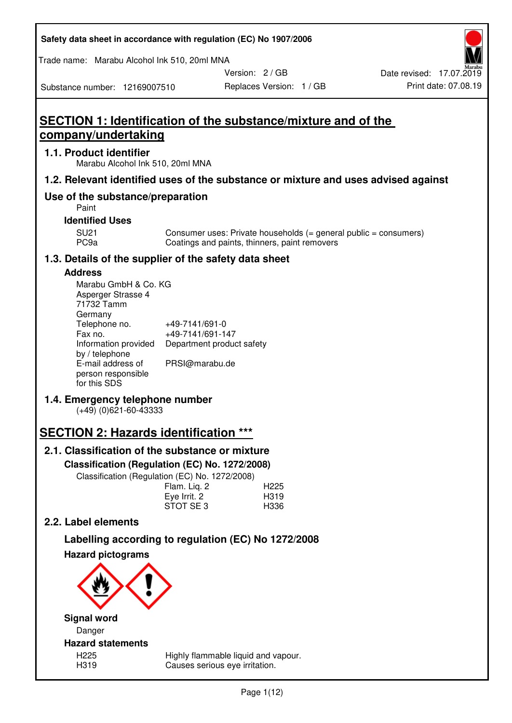| Safety data sheet in accordance with regulation (EC) No 1907/2006 |  |
|-------------------------------------------------------------------|--|
|-------------------------------------------------------------------|--|

Trade name: Marabu Alcohol Ink 510, 20ml MNA

Version: 2 / GB

#### Substance number: 12169007510

**SECTION 1: Identification of the substance/mixture and of the company/undertaking** 

### **1.1. Product identifier**

Marabu Alcohol Ink 510, 20ml MNA

## **1.2. Relevant identified uses of the substance or mixture and uses advised against**

## **Use of the substance/preparation**

Paint

**Identified Uses** 

SU21 Consumer uses: Private households (= general public = consumers)<br>PC9a Coatings and paints, thinners, paint removers Coatings and paints, thinners, paint removers

## **1.3. Details of the supplier of the safety data sheet**

#### **Address**

| Marabu GmbH & Co. KG |                           |
|----------------------|---------------------------|
| Asperger Strasse 4   |                           |
| 71732 Tamm           |                           |
| Germany              |                           |
| Telephone no.        | +49-7141/691-0            |
| Fax no.              | +49-7141/691-147          |
| Information provided | Department product safety |
| by / telephone       |                           |
| E-mail address of    | PRSI@marabu.de            |
| person responsible   |                           |
| for this SDS         |                           |

## **1.4. Emergency telephone number**

(+49) (0)621-60-43333

## **SECTION 2: Hazards identification \*\*\***

## **2.1. Classification of the substance or mixture**

**Classification (Regulation (EC) No. 1272/2008)** 

Classification (Regulation (EC) No. 1272/2008)

|              | . |                  |
|--------------|---|------------------|
| Flam. Liq. 2 |   | H <sub>225</sub> |
| Eye Irrit. 2 |   | H319             |
| STOT SE3     |   | H336             |
|              |   |                  |

## **2.2. Label elements**

# **Labelling according to regulation (EC) No 1272/2008**



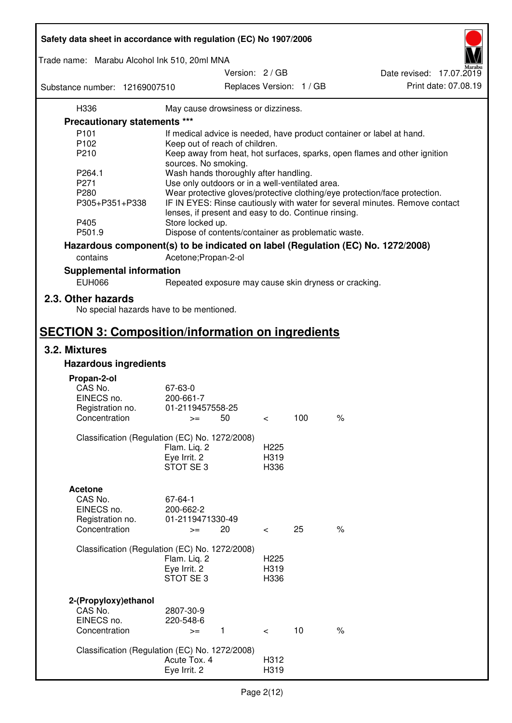| Safety data sheet in accordance with regulation (EC) No 1907/2006 |                                                       |               |                  |                          |                                                                                 |
|-------------------------------------------------------------------|-------------------------------------------------------|---------------|------------------|--------------------------|---------------------------------------------------------------------------------|
| Trade name: Marabu Alcohol Ink 510, 20ml MNA                      |                                                       |               |                  |                          |                                                                                 |
|                                                                   |                                                       | Version: 2/GB |                  |                          | Date revised: 17.07.2019                                                        |
| Substance number: 12169007510                                     |                                                       |               |                  | Replaces Version: 1 / GB | Print date: 07.08.19                                                            |
| H336                                                              | May cause drowsiness or dizziness.                    |               |                  |                          |                                                                                 |
| Precautionary statements ***                                      |                                                       |               |                  |                          |                                                                                 |
| P <sub>101</sub>                                                  |                                                       |               |                  |                          | If medical advice is needed, have product container or label at hand.           |
| P102                                                              | Keep out of reach of children.                        |               |                  |                          |                                                                                 |
| P210                                                              |                                                       |               |                  |                          | Keep away from heat, hot surfaces, sparks, open flames and other ignition       |
|                                                                   | sources. No smoking.                                  |               |                  |                          |                                                                                 |
| P264.1                                                            | Wash hands thoroughly after handling.                 |               |                  |                          |                                                                                 |
| P271                                                              | Use only outdoors or in a well-ventilated area.       |               |                  |                          |                                                                                 |
| P280                                                              |                                                       |               |                  |                          | Wear protective gloves/protective clothing/eye protection/face protection.      |
| P305+P351+P338                                                    |                                                       |               |                  |                          | IF IN EYES: Rinse cautiously with water for several minutes. Remove contact     |
|                                                                   | lenses, if present and easy to do. Continue rinsing.  |               |                  |                          |                                                                                 |
| P405                                                              | Store locked up.                                      |               |                  |                          |                                                                                 |
| P501.9                                                            | Dispose of contents/container as problematic waste.   |               |                  |                          |                                                                                 |
|                                                                   |                                                       |               |                  |                          | Hazardous component(s) to be indicated on label (Regulation (EC) No. 1272/2008) |
|                                                                   |                                                       |               |                  |                          |                                                                                 |
| contains                                                          | Acetone; Propan-2-ol                                  |               |                  |                          |                                                                                 |
| <b>Supplemental information</b>                                   |                                                       |               |                  |                          |                                                                                 |
| <b>EUH066</b>                                                     | Repeated exposure may cause skin dryness or cracking. |               |                  |                          |                                                                                 |
| 2.3. Other hazards<br>No special hazards have to be mentioned.    |                                                       |               |                  |                          |                                                                                 |
|                                                                   |                                                       |               |                  |                          |                                                                                 |
| <b>SECTION 3: Composition/information on ingredients</b>          |                                                       |               |                  |                          |                                                                                 |
| 3.2. Mixtures                                                     |                                                       |               |                  |                          |                                                                                 |
| <b>Hazardous ingredients</b>                                      |                                                       |               |                  |                          |                                                                                 |
|                                                                   |                                                       |               |                  |                          |                                                                                 |
| Propan-2-ol                                                       |                                                       |               |                  |                          |                                                                                 |
| CAS No.<br>EINECS no.                                             | 67-63-0<br>200-661-7                                  |               |                  |                          |                                                                                 |
| Registration no.                                                  | 01-2119457558-25                                      |               |                  |                          |                                                                                 |
| Concentration                                                     | $>=$                                                  | 50            | $\,<\,$          | 100                      | $\%$                                                                            |
|                                                                   |                                                       |               |                  |                          |                                                                                 |
| Classification (Regulation (EC) No. 1272/2008)                    |                                                       |               |                  |                          |                                                                                 |
|                                                                   | Flam. Liq. 2                                          |               | H <sub>225</sub> |                          |                                                                                 |
|                                                                   | Eye Irrit. 2                                          |               | H319             |                          |                                                                                 |
|                                                                   | STOT SE <sub>3</sub>                                  |               | H336             |                          |                                                                                 |
|                                                                   |                                                       |               |                  |                          |                                                                                 |
| <b>Acetone</b>                                                    |                                                       |               |                  |                          |                                                                                 |
| CAS No.                                                           | 67-64-1                                               |               |                  |                          |                                                                                 |
| EINECS no.                                                        | 200-662-2                                             |               |                  |                          |                                                                                 |
| Registration no.                                                  | 01-2119471330-49                                      |               |                  |                          |                                                                                 |
| Concentration                                                     | $>=$                                                  | 20            | $\prec$          | 25                       | $\%$                                                                            |
|                                                                   |                                                       |               |                  |                          |                                                                                 |
| Classification (Regulation (EC) No. 1272/2008)                    |                                                       |               |                  |                          |                                                                                 |
|                                                                   | Flam. Liq. 2                                          |               | H <sub>225</sub> |                          |                                                                                 |
|                                                                   | Eye Irrit. 2                                          |               | H319             |                          |                                                                                 |
|                                                                   | STOT SE3                                              |               | H336             |                          |                                                                                 |
|                                                                   |                                                       |               |                  |                          |                                                                                 |
| 2-(Propyloxy) ethanol                                             |                                                       |               |                  |                          |                                                                                 |
| CAS No.                                                           | 2807-30-9                                             |               |                  |                          |                                                                                 |
| EINECS no.                                                        | 220-548-6                                             |               |                  | 10                       | $\%$                                                                            |
| Concentration                                                     | $>=$                                                  | $\mathbf{1}$  | $\prec$          |                          |                                                                                 |
| Classification (Regulation (EC) No. 1272/2008)                    |                                                       |               |                  |                          |                                                                                 |
|                                                                   | Acute Tox. 4                                          |               | H312             |                          |                                                                                 |
|                                                                   | Eye Irrit. 2                                          |               | H319             |                          |                                                                                 |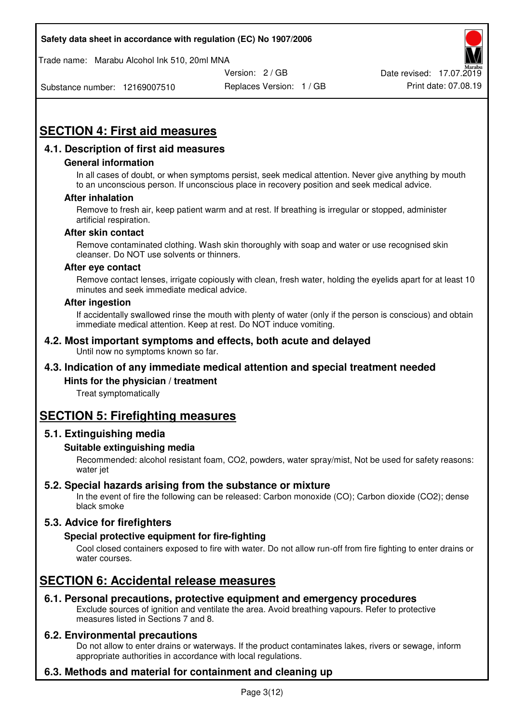Trade name: Marabu Alcohol Ink 510, 20ml MNA



Substance number: 12169007510

Replaces Version: 1 / GB Print date: 07.08.19

# **SECTION 4: First aid measures**

## **4.1. Description of first aid measures**

#### **General information**

In all cases of doubt, or when symptoms persist, seek medical attention. Never give anything by mouth to an unconscious person. If unconscious place in recovery position and seek medical advice.

#### **After inhalation**

Remove to fresh air, keep patient warm and at rest. If breathing is irregular or stopped, administer artificial respiration.

#### **After skin contact**

Remove contaminated clothing. Wash skin thoroughly with soap and water or use recognised skin cleanser. Do NOT use solvents or thinners.

#### **After eye contact**

Remove contact lenses, irrigate copiously with clean, fresh water, holding the eyelids apart for at least 10 minutes and seek immediate medical advice.

#### **After ingestion**

If accidentally swallowed rinse the mouth with plenty of water (only if the person is conscious) and obtain immediate medical attention. Keep at rest. Do NOT induce vomiting.

#### **4.2. Most important symptoms and effects, both acute and delayed**  Until now no symptoms known so far.

## **4.3. Indication of any immediate medical attention and special treatment needed**

#### **Hints for the physician / treatment**

Treat symptomatically

## **SECTION 5: Firefighting measures**

#### **5.1. Extinguishing media**

#### **Suitable extinguishing media**

Recommended: alcohol resistant foam, CO2, powders, water spray/mist, Not be used for safety reasons: water jet

#### **5.2. Special hazards arising from the substance or mixture**

In the event of fire the following can be released: Carbon monoxide (CO); Carbon dioxide (CO2); dense black smoke

## **5.3. Advice for firefighters**

#### **Special protective equipment for fire-fighting**

Cool closed containers exposed to fire with water. Do not allow run-off from fire fighting to enter drains or water courses.

## **SECTION 6: Accidental release measures**

#### **6.1. Personal precautions, protective equipment and emergency procedures**

Exclude sources of ignition and ventilate the area. Avoid breathing vapours. Refer to protective measures listed in Sections 7 and 8.

#### **6.2. Environmental precautions**

Do not allow to enter drains or waterways. If the product contaminates lakes, rivers or sewage, inform appropriate authorities in accordance with local regulations.

## **6.3. Methods and material for containment and cleaning up**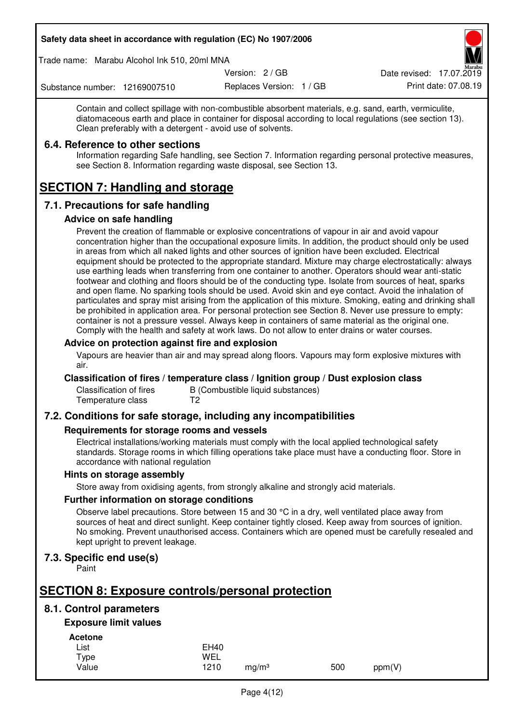Trade name: Marabu Alcohol Ink 510, 20ml MNA

Version: 2 / GB

Replaces Version: 1 / GB Print date: 07.08.19 Date revised: 17.07.2019

Substance number: 12169007510

Contain and collect spillage with non-combustible absorbent materials, e.g. sand, earth, vermiculite, diatomaceous earth and place in container for disposal according to local regulations (see section 13). Clean preferably with a detergent - avoid use of solvents.

## **6.4. Reference to other sections**

Information regarding Safe handling, see Section 7. Information regarding personal protective measures, see Section 8. Information regarding waste disposal, see Section 13.

# **SECTION 7: Handling and storage**

## **7.1. Precautions for safe handling**

#### **Advice on safe handling**

Prevent the creation of flammable or explosive concentrations of vapour in air and avoid vapour concentration higher than the occupational exposure limits. In addition, the product should only be used in areas from which all naked lights and other sources of ignition have been excluded. Electrical equipment should be protected to the appropriate standard. Mixture may charge electrostatically: always use earthing leads when transferring from one container to another. Operators should wear anti-static footwear and clothing and floors should be of the conducting type. Isolate from sources of heat, sparks and open flame. No sparking tools should be used. Avoid skin and eye contact. Avoid the inhalation of particulates and spray mist arising from the application of this mixture. Smoking, eating and drinking shall be prohibited in application area. For personal protection see Section 8. Never use pressure to empty: container is not a pressure vessel. Always keep in containers of same material as the original one. Comply with the health and safety at work laws. Do not allow to enter drains or water courses.

### **Advice on protection against fire and explosion**

Vapours are heavier than air and may spread along floors. Vapours may form explosive mixtures with air.

#### **Classification of fires / temperature class / Ignition group / Dust explosion class**

Classification of fires B (Combustible liquid substances)<br>Temperature class T2 Temperature class

## **7.2. Conditions for safe storage, including any incompatibilities**

#### **Requirements for storage rooms and vessels**

Electrical installations/working materials must comply with the local applied technological safety standards. Storage rooms in which filling operations take place must have a conducting floor. Store in accordance with national regulation

#### **Hints on storage assembly**

Store away from oxidising agents, from strongly alkaline and strongly acid materials.

#### **Further information on storage conditions**

Observe label precautions. Store between 15 and 30 °C in a dry, well ventilated place away from sources of heat and direct sunlight. Keep container tightly closed. Keep away from sources of ignition. No smoking. Prevent unauthorised access. Containers which are opened must be carefully resealed and kept upright to prevent leakage.

## **7.3. Specific end use(s)**

Paint

## **SECTION 8: Exposure controls/personal protection**

## **8.1. Control parameters**

## **Exposure limit values**

**Acetone** 

| - - - - - - - - |             |                   |     |        |
|-----------------|-------------|-------------------|-----|--------|
| List            | <b>EH40</b> |                   |     |        |
| Type            | WEL         |                   |     |        |
| Value           | 1210        | ma/m <sup>3</sup> | 500 | ppm(V) |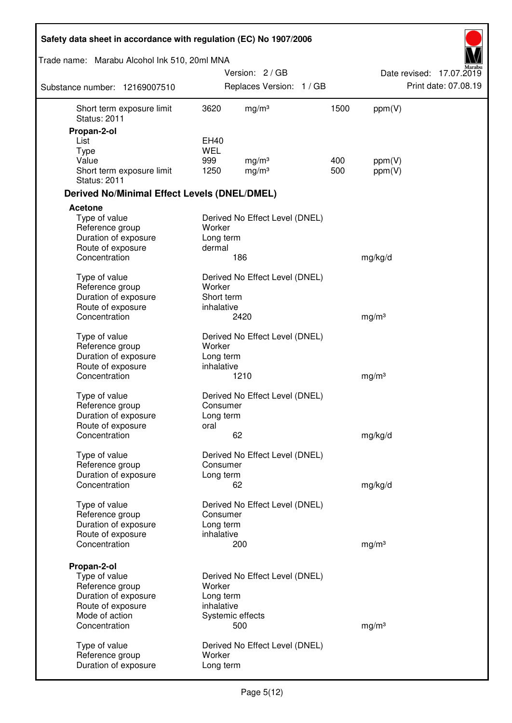| Safety data sheet in accordance with regulation (EC) No 1907/2006 |                     |                                |      |                   |                          |
|-------------------------------------------------------------------|---------------------|--------------------------------|------|-------------------|--------------------------|
| Trade name: Marabu Alcohol Ink 510, 20ml MNA                      |                     |                                |      |                   |                          |
|                                                                   |                     | Version: 2 / GB                |      |                   | Date revised: 17.07.2019 |
| Substance number: 12169007510                                     |                     | Replaces Version: 1 / GB       |      |                   | Print date: 07.08.19     |
| Short term exposure limit<br><b>Status: 2011</b>                  | 3620                | mg/m <sup>3</sup>              | 1500 | ppm(V)            |                          |
| Propan-2-ol                                                       |                     |                                |      |                   |                          |
| List<br>Type                                                      | EH40<br><b>WEL</b>  |                                |      |                   |                          |
| Value                                                             | 999                 | mg/m <sup>3</sup>              | 400  | ppm(V)            |                          |
| Short term exposure limit<br><b>Status: 2011</b>                  | 1250                | mg/m <sup>3</sup>              | 500  | ppm(V)            |                          |
| <b>Derived No/Minimal Effect Levels (DNEL/DMEL)</b>               |                     |                                |      |                   |                          |
| <b>Acetone</b>                                                    |                     |                                |      |                   |                          |
| Type of value                                                     |                     | Derived No Effect Level (DNEL) |      |                   |                          |
| Reference group                                                   | Worker              |                                |      |                   |                          |
| Duration of exposure<br>Route of exposure                         | Long term<br>dermal |                                |      |                   |                          |
| Concentration                                                     |                     | 186                            |      | mg/kg/d           |                          |
|                                                                   |                     |                                |      |                   |                          |
| Type of value                                                     |                     | Derived No Effect Level (DNEL) |      |                   |                          |
| Reference group                                                   | Worker              |                                |      |                   |                          |
| Duration of exposure                                              | Short term          |                                |      |                   |                          |
| Route of exposure<br>Concentration                                | inhalative          | 2420                           |      | mg/m <sup>3</sup> |                          |
|                                                                   |                     |                                |      |                   |                          |
| Type of value                                                     |                     | Derived No Effect Level (DNEL) |      |                   |                          |
| Reference group                                                   | Worker              |                                |      |                   |                          |
| Duration of exposure                                              | Long term           |                                |      |                   |                          |
| Route of exposure<br>Concentration                                | inhalative          | 1210                           |      | mg/m <sup>3</sup> |                          |
|                                                                   |                     |                                |      |                   |                          |
| Type of value                                                     |                     | Derived No Effect Level (DNEL) |      |                   |                          |
| Reference group                                                   | Consumer            |                                |      |                   |                          |
| Duration of exposure                                              | Long term           |                                |      |                   |                          |
| Route of exposure<br>Concentration                                | oral                | 62                             |      | mg/kg/d           |                          |
|                                                                   |                     |                                |      |                   |                          |
| Type of value                                                     |                     | Derived No Effect Level (DNEL) |      |                   |                          |
| Reference group                                                   | Consumer            |                                |      |                   |                          |
| Duration of exposure                                              | Long term           |                                |      |                   |                          |
| Concentration                                                     |                     | 62                             |      | mg/kg/d           |                          |
| Type of value                                                     |                     | Derived No Effect Level (DNEL) |      |                   |                          |
| Reference group                                                   | Consumer            |                                |      |                   |                          |
| Duration of exposure                                              | Long term           |                                |      |                   |                          |
| Route of exposure                                                 | inhalative          |                                |      |                   |                          |
| Concentration                                                     |                     | 200                            |      | mg/m <sup>3</sup> |                          |
| Propan-2-ol                                                       |                     |                                |      |                   |                          |
| Type of value                                                     |                     | Derived No Effect Level (DNEL) |      |                   |                          |
| Reference group                                                   | Worker              |                                |      |                   |                          |
| Duration of exposure                                              | Long term           |                                |      |                   |                          |
| Route of exposure<br>Mode of action                               | inhalative          |                                |      |                   |                          |
| Concentration                                                     |                     | Systemic effects<br>500        |      | mg/m <sup>3</sup> |                          |
|                                                                   |                     |                                |      |                   |                          |
| Type of value                                                     |                     | Derived No Effect Level (DNEL) |      |                   |                          |
| Reference group                                                   | Worker              |                                |      |                   |                          |
| Duration of exposure                                              | Long term           |                                |      |                   |                          |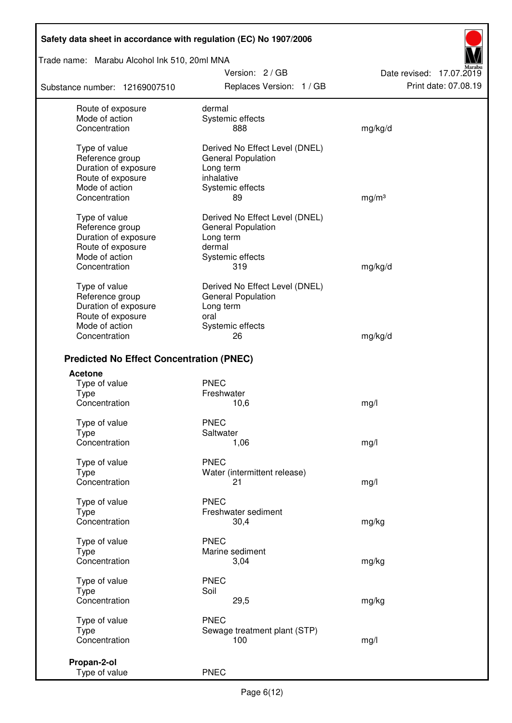## Trade name: Marabu Alcohol Ink 510, 20ml MNA

Substance number: 12169007510

Version: 2 / GB Replaces Version: 1 / GB Print date: 07.08.19

Date revised: 17.07.2019

| Route of exposure                               | dermal                         |                   |
|-------------------------------------------------|--------------------------------|-------------------|
| Mode of action                                  | Systemic effects               |                   |
| Concentration                                   | 888                            | mg/kg/d           |
|                                                 |                                |                   |
| Type of value                                   | Derived No Effect Level (DNEL) |                   |
| Reference group                                 | General Population             |                   |
| Duration of exposure                            | Long term                      |                   |
| Route of exposure                               | inhalative                     |                   |
| Mode of action                                  | Systemic effects               |                   |
| Concentration                                   | 89                             | mg/m <sup>3</sup> |
|                                                 |                                |                   |
| Type of value                                   | Derived No Effect Level (DNEL) |                   |
| Reference group                                 | <b>General Population</b>      |                   |
| Duration of exposure                            | Long term                      |                   |
| Route of exposure                               | dermal                         |                   |
| Mode of action                                  | Systemic effects               |                   |
| Concentration                                   | 319                            | mg/kg/d           |
|                                                 |                                |                   |
| Type of value                                   | Derived No Effect Level (DNEL) |                   |
| Reference group                                 | <b>General Population</b>      |                   |
| Duration of exposure                            | Long term                      |                   |
| Route of exposure                               | oral                           |                   |
| Mode of action                                  | Systemic effects               |                   |
| Concentration                                   | 26                             | mg/kg/d           |
|                                                 |                                |                   |
| <b>Predicted No Effect Concentration (PNEC)</b> |                                |                   |
| <b>Acetone</b>                                  |                                |                   |
|                                                 | <b>PNEC</b>                    |                   |
| Type of value<br><b>Type</b>                    | Freshwater                     |                   |
| Concentration                                   | 10,6                           |                   |
|                                                 |                                | mg/l              |
| Type of value                                   | <b>PNEC</b>                    |                   |
| <b>Type</b>                                     | Saltwater                      |                   |
| Concentration                                   | 1,06                           | mg/l              |
|                                                 |                                |                   |
| Type of value                                   | <b>PNEC</b>                    |                   |
| Type                                            | Water (intermittent release)   |                   |
| Concentration                                   | 21                             | mg/l              |
|                                                 |                                |                   |
| Type of value                                   | <b>PNEC</b>                    |                   |
| <b>Type</b>                                     | Freshwater sediment            |                   |
| Concentration                                   | 30,4                           | mg/kg             |
|                                                 |                                |                   |
| Type of value                                   | <b>PNEC</b>                    |                   |
| Type                                            | Marine sediment                |                   |
| Concentration                                   | 3,04                           | mg/kg             |
|                                                 | <b>PNEC</b>                    |                   |
| Type of value                                   | Soil                           |                   |
| Type<br>Concentration                           |                                |                   |
|                                                 | 29,5                           | mg/kg             |
| Type of value                                   | <b>PNEC</b>                    |                   |
| Type                                            | Sewage treatment plant (STP)   |                   |
| Concentration                                   | 100                            | mg/l              |
|                                                 |                                |                   |
| Propan-2-ol                                     |                                |                   |
| Type of value                                   | <b>PNEC</b>                    |                   |
|                                                 |                                |                   |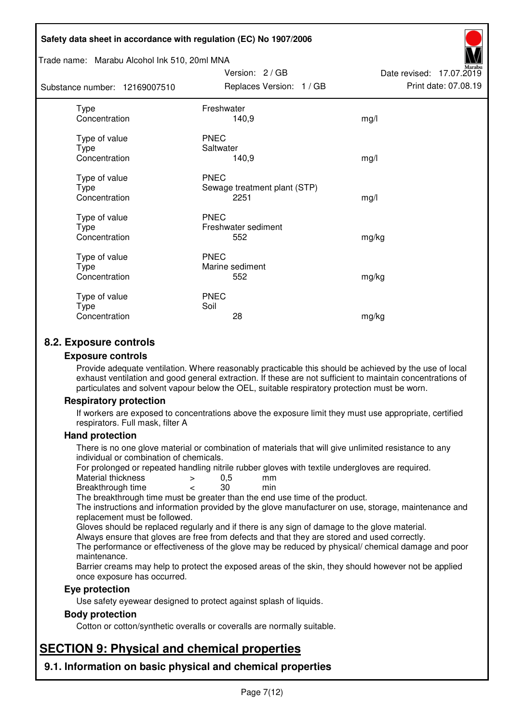#### Trade name: Marabu Alcohol Ink 510, 20ml MNA

Subs<sup>t</sup>

| tance number: 12169007510              | Replaces Version: 1 / GB                            | Print date: 07.08.19 |
|----------------------------------------|-----------------------------------------------------|----------------------|
| Type<br>Concentration                  | Freshwater<br>140,9                                 | mg/l                 |
| Type of value<br>Type<br>Concentration | <b>PNEC</b><br>Saltwater<br>140,9                   | mg/l                 |
| Type of value<br>Type<br>Concentration | <b>PNEC</b><br>Sewage treatment plant (STP)<br>2251 | mg/l                 |
| Type of value<br>Type<br>Concentration | <b>PNEC</b><br>Freshwater sediment<br>552           | mg/kg                |
| Type of value<br>Type<br>Concentration | <b>PNEC</b><br>Marine sediment<br>552               | mg/kg                |
| Type of value<br>Type<br>Concentration | <b>PNEC</b><br>Soil<br>28                           | mg/kg                |

Version: 2 / GB

Date revised: 17.07.2019

## **8.2. Exposure controls**

#### **Exposure controls**

Provide adequate ventilation. Where reasonably practicable this should be achieved by the use of local exhaust ventilation and good general extraction. If these are not sufficient to maintain concentrations of particulates and solvent vapour below the OEL, suitable respiratory protection must be worn.

#### **Respiratory protection**

If workers are exposed to concentrations above the exposure limit they must use appropriate, certified respirators. Full mask, filter A

#### **Hand protection**

There is no one glove material or combination of materials that will give unlimited resistance to any individual or combination of chemicals.

For prolonged or repeated handling nitrile rubber gloves with textile undergloves are required.<br>Material thickness  $\geq 0.5$  mm

- Material thickness  $\begin{array}{ccc} 0.5 \\ -8.5 \end{array}$  Material thickness  $\begin{array}{ccc} 0.5 \\ -8.5 \end{array}$
- Breakthrough time < 30 min

The breakthrough time must be greater than the end use time of the product.

The instructions and information provided by the glove manufacturer on use, storage, maintenance and replacement must be followed.

Gloves should be replaced regularly and if there is any sign of damage to the glove material.

Always ensure that gloves are free from defects and that they are stored and used correctly.

The performance or effectiveness of the glove may be reduced by physical/ chemical damage and poor maintenance.

Barrier creams may help to protect the exposed areas of the skin, they should however not be applied once exposure has occurred.

#### **Eye protection**

Use safety eyewear designed to protect against splash of liquids.

#### **Body protection**

Cotton or cotton/synthetic overalls or coveralls are normally suitable.

## **SECTION 9: Physical and chemical properties**

**9.1. Information on basic physical and chemical properties**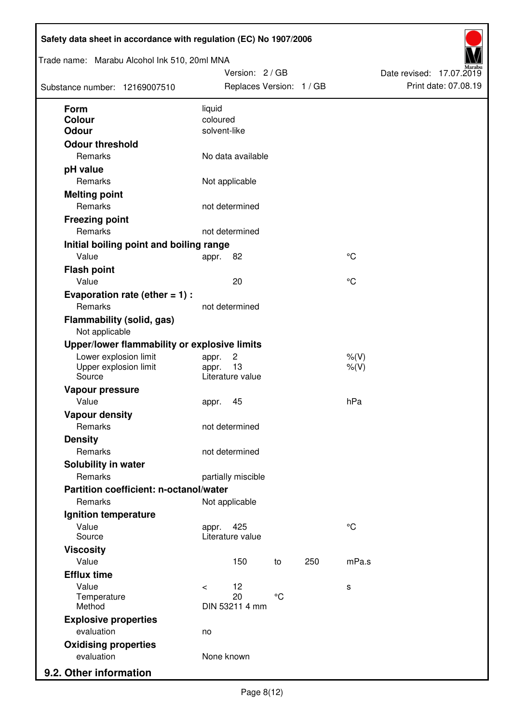| Trade name: Marabu Alcohol Ink 510, 20ml MNA<br>Substance number: 12169007510 | Version: 2 / GB<br>Replaces Version: 1 / GB |     |             | Date revised: 17.07.2019<br>Print date: 07.08.19 |
|-------------------------------------------------------------------------------|---------------------------------------------|-----|-------------|--------------------------------------------------|
| <b>Form</b>                                                                   | liquid                                      |     |             |                                                  |
| <b>Colour</b>                                                                 | coloured                                    |     |             |                                                  |
| <b>Odour</b>                                                                  | solvent-like                                |     |             |                                                  |
| <b>Odour threshold</b>                                                        |                                             |     |             |                                                  |
| Remarks                                                                       | No data available                           |     |             |                                                  |
| pH value                                                                      |                                             |     |             |                                                  |
| Remarks                                                                       | Not applicable                              |     |             |                                                  |
| <b>Melting point</b>                                                          |                                             |     |             |                                                  |
| Remarks                                                                       | not determined                              |     |             |                                                  |
| <b>Freezing point</b>                                                         |                                             |     |             |                                                  |
| Remarks                                                                       | not determined                              |     |             |                                                  |
| Initial boiling point and boiling range                                       |                                             |     |             |                                                  |
| Value                                                                         | 82<br>appr.                                 |     | $^{\circ}C$ |                                                  |
| <b>Flash point</b>                                                            |                                             |     |             |                                                  |
| Value                                                                         | 20                                          |     | $^{\circ}C$ |                                                  |
| Evaporation rate (ether $= 1$ ) :                                             |                                             |     |             |                                                  |
| Remarks                                                                       | not determined                              |     |             |                                                  |
| <b>Flammability (solid, gas)</b><br>Not applicable                            |                                             |     |             |                                                  |
| Upper/lower flammability or explosive limits                                  |                                             |     |             |                                                  |
| Lower explosion limit                                                         | $\overline{c}$<br>appr.                     |     | $%$ (V)     |                                                  |
| Upper explosion limit<br>Source                                               | 13<br>appr.<br>Literature value             |     | $%$ (V)     |                                                  |
| Vapour pressure                                                               |                                             |     |             |                                                  |
| Value                                                                         | 45<br>appr.                                 |     | hPa         |                                                  |
| <b>Vapour density</b>                                                         |                                             |     |             |                                                  |
| Remarks                                                                       | not determined                              |     |             |                                                  |
| <b>Density</b>                                                                |                                             |     |             |                                                  |
| Remarks                                                                       | not determined                              |     |             |                                                  |
| Solubility in water                                                           |                                             |     |             |                                                  |
| Remarks                                                                       | partially miscible                          |     |             |                                                  |
| Partition coefficient: n-octanol/water                                        |                                             |     |             |                                                  |
| Remarks                                                                       | Not applicable                              |     |             |                                                  |
| Ignition temperature                                                          |                                             |     |             |                                                  |
| Value<br>Source                                                               | 425<br>appr.<br>Literature value            |     | $^{\circ}C$ |                                                  |
| <b>Viscosity</b>                                                              |                                             |     |             |                                                  |
| Value                                                                         | 150<br>to                                   | 250 | mPa.s       |                                                  |
| <b>Efflux time</b>                                                            |                                             |     |             |                                                  |
| Value                                                                         | 12<br>$\prec$                               |     | s           |                                                  |
| Temperature                                                                   | 20<br>$^{\circ}$ C                          |     |             |                                                  |
| Method                                                                        | DIN 53211 4 mm                              |     |             |                                                  |
| <b>Explosive properties</b>                                                   |                                             |     |             |                                                  |
| evaluation                                                                    | no                                          |     |             |                                                  |
| <b>Oxidising properties</b><br>evaluation                                     | None known                                  |     |             |                                                  |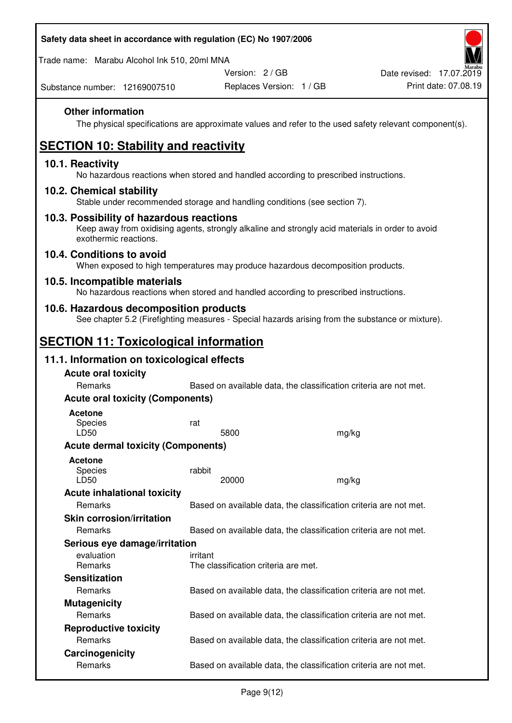Trade name: Marabu Alcohol Ink 510, 20ml MNA

Version: 2 / GB

Replaces Version: 1 / GB Print date: 07.08.19 Date revised: 17.07.2019

Substance number: 12169007510

## **Other information**

The physical specifications are approximate values and refer to the used safety relevant component(s).

# **SECTION 10: Stability and reactivity**

## **10.1. Reactivity**

No hazardous reactions when stored and handled according to prescribed instructions.

## **10.2. Chemical stability**

Stable under recommended storage and handling conditions (see section 7).

### **10.3. Possibility of hazardous reactions**

Keep away from oxidising agents, strongly alkaline and strongly acid materials in order to avoid exothermic reactions.

#### **10.4. Conditions to avoid**

When exposed to high temperatures may produce hazardous decomposition products.

### **10.5. Incompatible materials**

No hazardous reactions when stored and handled according to prescribed instructions.

### **10.6. Hazardous decomposition products**

See chapter 5.2 (Firefighting measures - Special hazards arising from the substance or mixture).

## **SECTION 11: Toxicological information**

## **11.1. Information on toxicological effects**

| <b>Acute oral toxicity</b><br>Remarks     |                                                  | Based on available data, the classification criteria are not met. |
|-------------------------------------------|--------------------------------------------------|-------------------------------------------------------------------|
| <b>Acute oral toxicity (Components)</b>   |                                                  |                                                                   |
| <b>Acetone</b><br>Species<br>LD50         | rat<br>5800                                      | mg/kg                                                             |
| <b>Acute dermal toxicity (Components)</b> |                                                  |                                                                   |
| Acetone<br>Species<br>LD50                | rabbit<br>20000                                  | mg/kg                                                             |
| <b>Acute inhalational toxicity</b>        |                                                  |                                                                   |
| <b>Remarks</b>                            |                                                  | Based on available data, the classification criteria are not met. |
| <b>Skin corrosion/irritation</b>          |                                                  |                                                                   |
| <b>Remarks</b>                            |                                                  | Based on available data, the classification criteria are not met. |
| Serious eye damage/irritation             |                                                  |                                                                   |
| evaluation<br><b>Remarks</b>              | irritant<br>The classification criteria are met. |                                                                   |
| <b>Sensitization</b>                      |                                                  |                                                                   |
| <b>Remarks</b>                            |                                                  | Based on available data, the classification criteria are not met. |
| <b>Mutagenicity</b>                       |                                                  |                                                                   |
| Remarks                                   |                                                  | Based on available data, the classification criteria are not met. |
| <b>Reproductive toxicity</b>              |                                                  |                                                                   |
| <b>Remarks</b>                            |                                                  | Based on available data, the classification criteria are not met. |
| Carcinogenicity                           |                                                  |                                                                   |
| <b>Remarks</b>                            |                                                  | Based on available data, the classification criteria are not met. |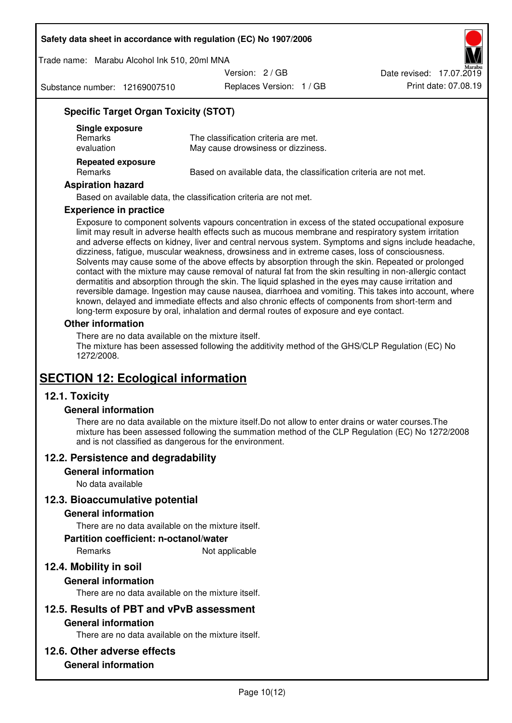Trade name: Marabu Alcohol Ink 510, 20ml MNA

Version: 2 / GB

Substance number: 12169007510

Replaces Version: 1 / GB Print date: 07.08.19 Date revised: 17.07.2019

## **Specific Target Organ Toxicity (STOT)**

| Single exposure<br><b>Remarks</b><br>evaluation | The classification criteria are met.<br>May cause drowsiness or dizziness. |
|-------------------------------------------------|----------------------------------------------------------------------------|
| <b>Repeated exposure</b><br><b>Remarks</b>      | Based on available data, the classification criteria are not met.          |

#### **Aspiration hazard**

Based on available data, the classification criteria are not met.

#### **Experience in practice**

Exposure to component solvents vapours concentration in excess of the stated occupational exposure limit may result in adverse health effects such as mucous membrane and respiratory system irritation and adverse effects on kidney, liver and central nervous system. Symptoms and signs include headache, dizziness, fatigue, muscular weakness, drowsiness and in extreme cases, loss of consciousness. Solvents may cause some of the above effects by absorption through the skin. Repeated or prolonged contact with the mixture may cause removal of natural fat from the skin resulting in non-allergic contact dermatitis and absorption through the skin. The liquid splashed in the eyes may cause irritation and reversible damage. Ingestion may cause nausea, diarrhoea and vomiting. This takes into account, where known, delayed and immediate effects and also chronic effects of components from short-term and long-term exposure by oral, inhalation and dermal routes of exposure and eye contact.

#### **Other information**

There are no data available on the mixture itself. The mixture has been assessed following the additivity method of the GHS/CLP Regulation (EC) No 1272/2008.

## **SECTION 12: Ecological information**

## **12.1. Toxicity**

#### **General information**

There are no data available on the mixture itself.Do not allow to enter drains or water courses.The mixture has been assessed following the summation method of the CLP Regulation (EC) No 1272/2008 and is not classified as dangerous for the environment.

#### **12.2. Persistence and degradability**

#### **General information**

No data available

#### **12.3. Bioaccumulative potential**

#### **General information**

There are no data available on the mixture itself.

#### **Partition coefficient: n-octanol/water**

Remarks Not applicable

## **12.4. Mobility in soil**

#### **General information**

There are no data available on the mixture itself.

#### **12.5. Results of PBT and vPvB assessment**

#### **General information**

There are no data available on the mixture itself.

#### **12.6. Other adverse effects**

#### **General information**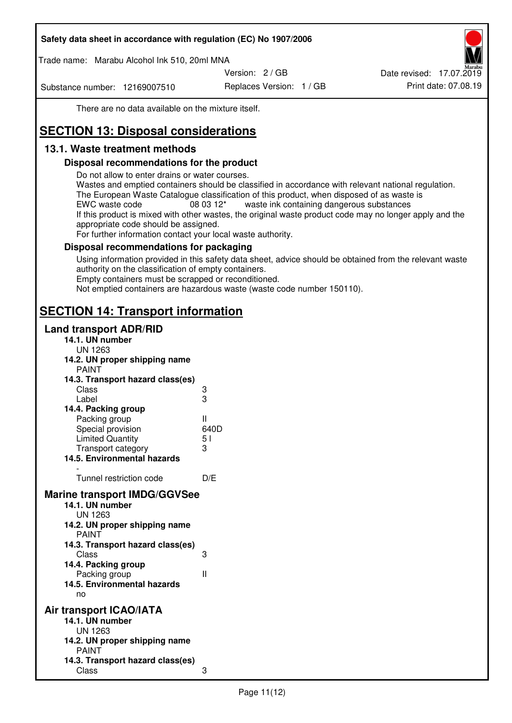Trade name: Marabu Alcohol Ink 510, 20ml MNA

Version: 2 / GB

Substance number: 12169007510

Replaces Version: 1 / GB Print date: 07.08.19 Date revised: 17.07.2019

There are no data available on the mixture itself.

# **SECTION 13: Disposal considerations**

## **13.1. Waste treatment methods**

### **Disposal recommendations for the product**

Do not allow to enter drains or water courses.

Wastes and emptied containers should be classified in accordance with relevant national regulation. The European Waste Catalogue classification of this product, when disposed of as waste is EWC waste code  $08\,03\,12^*$  waste ink containing dangerous substances If this product is mixed with other wastes, the original waste product code may no longer apply and the appropriate code should be assigned.

For further information contact your local waste authority.

### **Disposal recommendations for packaging**

Using information provided in this safety data sheet, advice should be obtained from the relevant waste authority on the classification of empty containers. Empty containers must be scrapped or reconditioned.

Not emptied containers are hazardous waste (waste code number 150110).

## **SECTION 14: Transport information**

### **Land transport ADR/RID**

| 14.1. UN number<br><b>UN 1263</b>                                                                                                                                                                                                            |                   |
|----------------------------------------------------------------------------------------------------------------------------------------------------------------------------------------------------------------------------------------------|-------------------|
| 14.2. UN proper shipping name                                                                                                                                                                                                                |                   |
| <b>PAINT</b>                                                                                                                                                                                                                                 |                   |
| 14.3. Transport hazard class(es)                                                                                                                                                                                                             |                   |
| Class                                                                                                                                                                                                                                        | ვ<br>ვ            |
| Label                                                                                                                                                                                                                                        |                   |
| 14.4. Packing group                                                                                                                                                                                                                          |                   |
| Packing group                                                                                                                                                                                                                                | Ш                 |
| Special provision                                                                                                                                                                                                                            | 640D              |
| <b>Limited Quantity</b>                                                                                                                                                                                                                      | 5 <sub>1</sub>    |
| Transport category                                                                                                                                                                                                                           | 3                 |
| 14.5. Environmental hazards                                                                                                                                                                                                                  |                   |
| Tunnel restriction code                                                                                                                                                                                                                      | D/E               |
| <b>Marine transport IMDG/GGVSee</b><br>14.1. UN number<br>UN 1263<br>14.2. UN proper shipping name<br><b>PAINT</b><br>14.3. Transport hazard class(es)<br>Class<br>14.4. Packing group<br>Packing group<br>14.5. Environmental hazards<br>no | 3<br>$\mathbf{I}$ |
| Air transport ICAO/IATA<br>14.1. UN number<br>UN 1263<br>14.2. UN proper shipping name<br><b>PAINT</b>                                                                                                                                       |                   |
| 14.3. Transport hazard class(es)<br>Class                                                                                                                                                                                                    | 3                 |